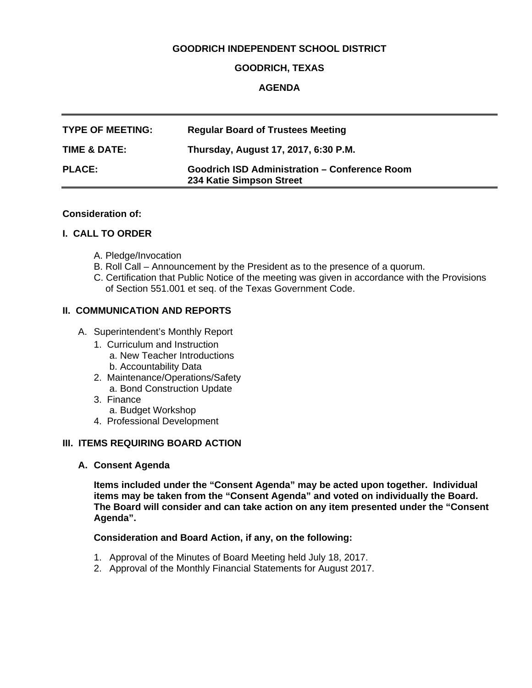## **GOODRICH INDEPENDENT SCHOOL DISTRICT**

### **GOODRICH, TEXAS**

### **AGENDA**

| <b>TYPE OF MEETING:</b> | <b>Regular Board of Trustees Meeting</b>                                         |
|-------------------------|----------------------------------------------------------------------------------|
| TIME & DATE:            | Thursday, August 17, 2017, 6:30 P.M.                                             |
| <b>PLACE:</b>           | <b>Goodrich ISD Administration - Conference Room</b><br>234 Katie Simpson Street |

#### **Consideration of:**

#### **I. CALL TO ORDER**

- A. Pledge/Invocation
- B. Roll Call Announcement by the President as to the presence of a quorum.
- C. Certification that Public Notice of the meeting was given in accordance with the Provisions of Section 551.001 et seq. of the Texas Government Code.

### **II. COMMUNICATION AND REPORTS**

- A. Superintendent's Monthly Report
	- 1. Curriculum and Instruction
		- a. New Teacher Introductions
		- b. Accountability Data
	- 2. Maintenance/Operations/Safety a. Bond Construction Update
	- 3. Finance
		- a. Budget Workshop
	- 4. Professional Development

#### **III. ITEMS REQUIRING BOARD ACTION**

**A. Consent Agenda**

**Items included under the "Consent Agenda" may be acted upon together. Individual items may be taken from the "Consent Agenda" and voted on individually the Board. The Board will consider and can take action on any item presented under the "Consent Agenda".** 

#### **Consideration and Board Action, if any, on the following:**

- 1. Approval of the Minutes of Board Meeting held July 18, 2017.
- 2. Approval of the Monthly Financial Statements for August 2017.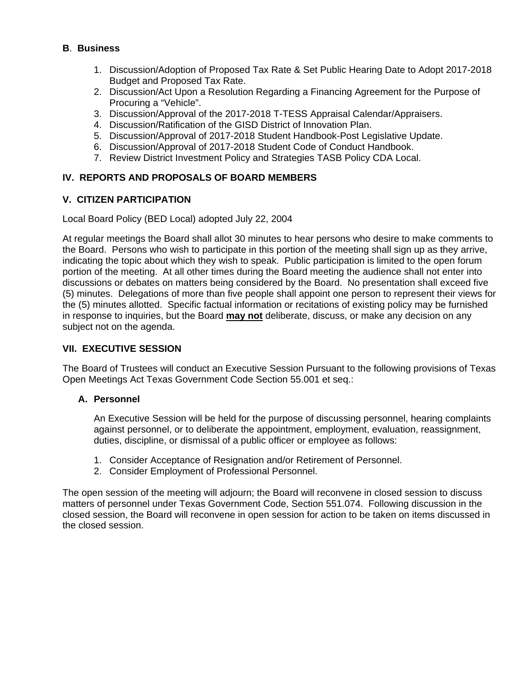## **B**. **Business**

- 1. Discussion/Adoption of Proposed Tax Rate & Set Public Hearing Date to Adopt 2017-2018 Budget and Proposed Tax Rate.
- 2. Discussion/Act Upon a Resolution Regarding a Financing Agreement for the Purpose of Procuring a "Vehicle".
- 3. Discussion/Approval of the 2017-2018 T-TESS Appraisal Calendar/Appraisers.
- 4. Discussion/Ratification of the GISD District of Innovation Plan.
- 5. Discussion/Approval of 2017-2018 Student Handbook-Post Legislative Update.
- 6. Discussion/Approval of 2017-2018 Student Code of Conduct Handbook.
- 7. Review District Investment Policy and Strategies TASB Policy CDA Local.

# **IV. REPORTS AND PROPOSALS OF BOARD MEMBERS**

## **V. CITIZEN PARTICIPATION**

Local Board Policy (BED Local) adopted July 22, 2004

At regular meetings the Board shall allot 30 minutes to hear persons who desire to make comments to the Board. Persons who wish to participate in this portion of the meeting shall sign up as they arrive, indicating the topic about which they wish to speak. Public participation is limited to the open forum portion of the meeting. At all other times during the Board meeting the audience shall not enter into discussions or debates on matters being considered by the Board. No presentation shall exceed five (5) minutes. Delegations of more than five people shall appoint one person to represent their views for the (5) minutes allotted. Specific factual information or recitations of existing policy may be furnished in response to inquiries, but the Board **may not** deliberate, discuss, or make any decision on any subject not on the agenda.

# **VII. EXECUTIVE SESSION**

The Board of Trustees will conduct an Executive Session Pursuant to the following provisions of Texas Open Meetings Act Texas Government Code Section 55.001 et seq.:

## **A. Personnel**

An Executive Session will be held for the purpose of discussing personnel, hearing complaints against personnel, or to deliberate the appointment, employment, evaluation, reassignment, duties, discipline, or dismissal of a public officer or employee as follows:

- 1. Consider Acceptance of Resignation and/or Retirement of Personnel.
- 2. Consider Employment of Professional Personnel.

The open session of the meeting will adjourn; the Board will reconvene in closed session to discuss matters of personnel under Texas Government Code, Section 551.074. Following discussion in the closed session, the Board will reconvene in open session for action to be taken on items discussed in the closed session.